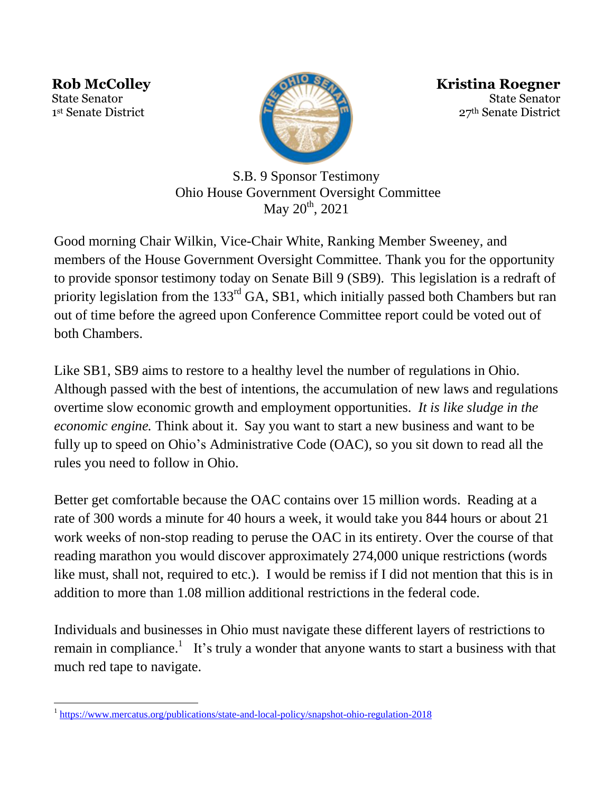**Rob McColley** State Senator 1 st Senate District



**Kristina Roegner** State Senator 27th Senate District

S.B. 9 Sponsor Testimony Ohio House Government Oversight Committee May  $20^{th}$ ,  $2021$ 

Good morning Chair Wilkin, Vice-Chair White, Ranking Member Sweeney, and members of the House Government Oversight Committee. Thank you for the opportunity to provide sponsor testimony today on Senate Bill 9 (SB9). This legislation is a redraft of priority legislation from the 133<sup>rd</sup> GA, SB1, which initially passed both Chambers but ran out of time before the agreed upon Conference Committee report could be voted out of both Chambers.

Like SB1, SB9 aims to restore to a healthy level the number of regulations in Ohio. Although passed with the best of intentions, the accumulation of new laws and regulations overtime slow economic growth and employment opportunities. *It is like sludge in the economic engine.* Think about it. Say you want to start a new business and want to be fully up to speed on Ohio's Administrative Code (OAC), so you sit down to read all the rules you need to follow in Ohio.

Better get comfortable because the OAC contains over 15 million words. Reading at a rate of 300 words a minute for 40 hours a week, it would take you 844 hours or about 21 work weeks of non-stop reading to peruse the OAC in its entirety. Over the course of that reading marathon you would discover approximately 274,000 unique restrictions (words like must, shall not, required to etc.). I would be remiss if I did not mention that this is in addition to more than 1.08 million additional restrictions in the federal code.

Individuals and businesses in Ohio must navigate these different layers of restrictions to remain in compliance.<sup>1</sup> It's truly a wonder that anyone wants to start a business with that much red tape to navigate.

 $\overline{a}$ 1 <https://www.mercatus.org/publications/state-and-local-policy/snapshot-ohio-regulation-2018>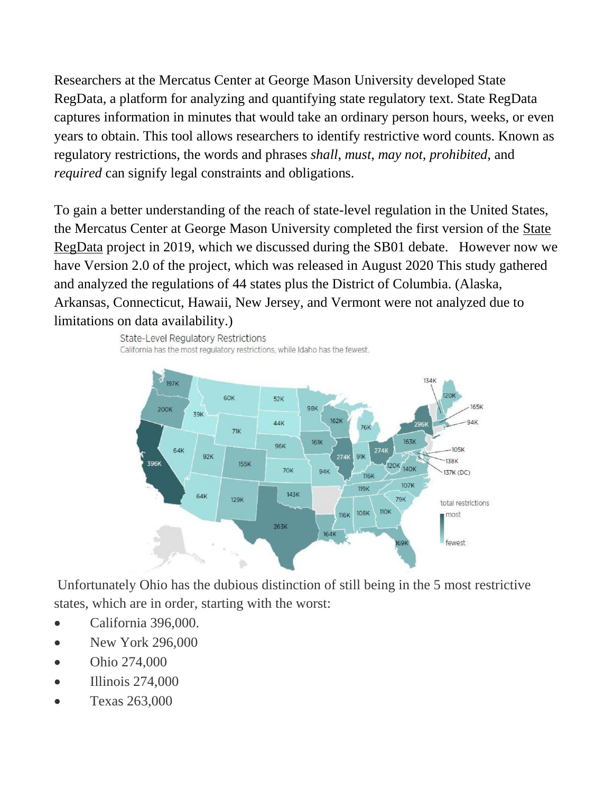Researchers at the Mercatus Center at George Mason University developed State RegData, a platform for analyzing and quantifying state regulatory text. State RegData captures information in minutes that would take an ordinary person hours, weeks, or even years to obtain. This tool allows researchers to identify restrictive word counts. Known as regulatory restrictions, the words and phrases *shall*, *must*, *may not*, *prohibited*, and *required* can signify legal constraints and obligations.

To gain a better understanding of the reach of state-level regulation in the United States, the Mercatus Center at George Mason University completed the first version of the [State](https://quantgov.org/state-regdata/)  [RegData](https://quantgov.org/state-regdata/) project in 2019, which we discussed during the SB01 debate. However now we have Version 2.0 of the project, which was released in August 2020 This study gathered and analyzed the regulations of 44 states plus the District of Columbia. (Alaska, Arkansas, Connecticut, Hawaii, New Jersey, and Vermont were not analyzed due to limitations on data availability.)





Unfortunately Ohio has the dubious distinction of still being in the 5 most restrictive states, which are in order, starting with the worst:

- California 396,000.
- New York 296,000
- Ohio 274,000
- Illinois 274,000
- Texas 263,000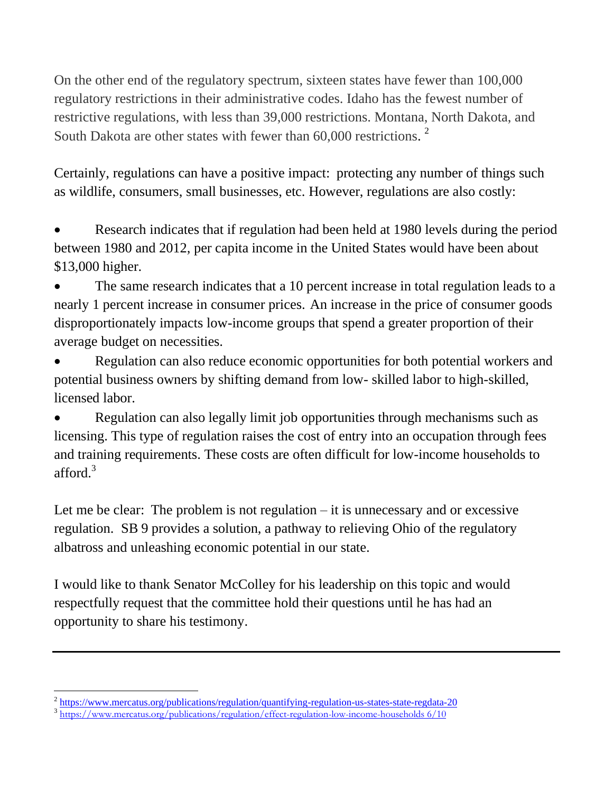On the other end of the regulatory spectrum, sixteen states have fewer than 100,000 regulatory restrictions in their administrative codes. Idaho has the fewest number of restrictive regulations, with less than 39,000 restrictions. Montana, North Dakota, and South Dakota are other states with fewer than 60,000 restrictions.<sup>2</sup>

Certainly, regulations can have a positive impact: protecting any number of things such as wildlife, consumers, small businesses, etc. However, regulations are also costly:

 Research indicates that if regulation had been held at 1980 levels during the period between 1980 and 2012, per capita income in the United States would have been about \$13,000 higher.

 The same research indicates that a 10 percent increase in total regulation leads to a nearly 1 percent increase in consumer prices. An increase in the price of consumer goods disproportionately impacts low-income groups that spend a greater proportion of their average budget on necessities.

 Regulation can also reduce economic opportunities for both potential workers and potential business owners by shifting demand from low- skilled labor to high-skilled, licensed labor.

 Regulation can also legally limit job opportunities through mechanisms such as licensing. This type of regulation raises the cost of entry into an occupation through fees and training requirements. These costs are often difficult for low-income households to afford.<sup>3</sup>

Let me be clear: The problem is not regulation – it is unnecessary and or excessive regulation. SB 9 provides a solution, a pathway to relieving Ohio of the regulatory albatross and unleashing economic potential in our state.

I would like to thank Senator McColley for his leadership on this topic and would respectfully request that the committee hold their questions until he has had an opportunity to share his testimony.

 $\overline{a}$ <sup>2</sup> <https://www.mercatus.org/publications/regulation/quantifying-regulation-us-states-state-regdata-20>

<sup>3</sup> [https://www.mercatus.org/publications/regulation/effect-regulation-low-income-households 6/10](https://www.mercatus.org/publications/regulation/effect-regulation-low-income-households%206/10)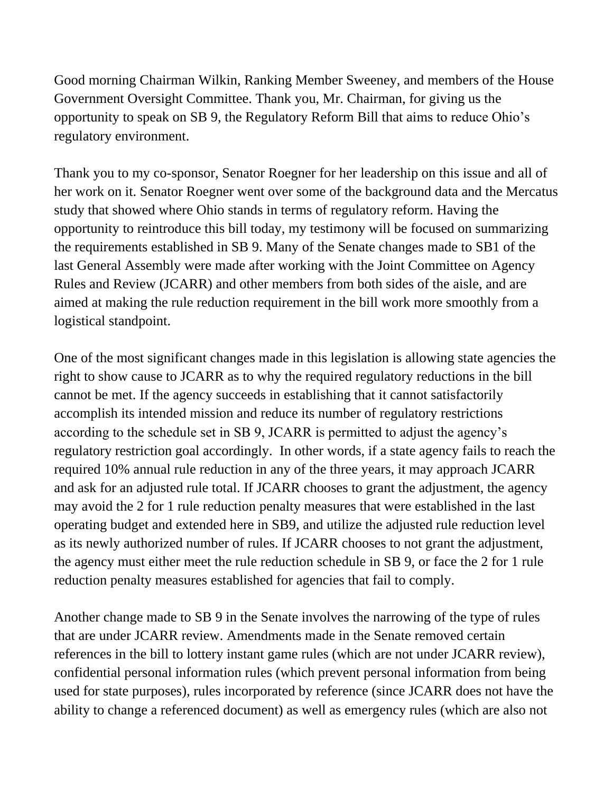Good morning Chairman Wilkin, Ranking Member Sweeney, and members of the House Government Oversight Committee. Thank you, Mr. Chairman, for giving us the opportunity to speak on SB 9, the Regulatory Reform Bill that aims to reduce Ohio's regulatory environment.

Thank you to my co-sponsor, Senator Roegner for her leadership on this issue and all of her work on it. Senator Roegner went over some of the background data and the Mercatus study that showed where Ohio stands in terms of regulatory reform. Having the opportunity to reintroduce this bill today, my testimony will be focused on summarizing the requirements established in SB 9. Many of the Senate changes made to SB1 of the last General Assembly were made after working with the Joint Committee on Agency Rules and Review (JCARR) and other members from both sides of the aisle, and are aimed at making the rule reduction requirement in the bill work more smoothly from a logistical standpoint.

One of the most significant changes made in this legislation is allowing state agencies the right to show cause to JCARR as to why the required regulatory reductions in the bill cannot be met. If the agency succeeds in establishing that it cannot satisfactorily accomplish its intended mission and reduce its number of regulatory restrictions according to the schedule set in SB 9, JCARR is permitted to adjust the agency's regulatory restriction goal accordingly. In other words, if a state agency fails to reach the required 10% annual rule reduction in any of the three years, it may approach JCARR and ask for an adjusted rule total. If JCARR chooses to grant the adjustment, the agency may avoid the 2 for 1 rule reduction penalty measures that were established in the last operating budget and extended here in SB9, and utilize the adjusted rule reduction level as its newly authorized number of rules. If JCARR chooses to not grant the adjustment, the agency must either meet the rule reduction schedule in SB 9, or face the 2 for 1 rule reduction penalty measures established for agencies that fail to comply.

Another change made to SB 9 in the Senate involves the narrowing of the type of rules that are under JCARR review. Amendments made in the Senate removed certain references in the bill to lottery instant game rules (which are not under JCARR review), confidential personal information rules (which prevent personal information from being used for state purposes), rules incorporated by reference (since JCARR does not have the ability to change a referenced document) as well as emergency rules (which are also not